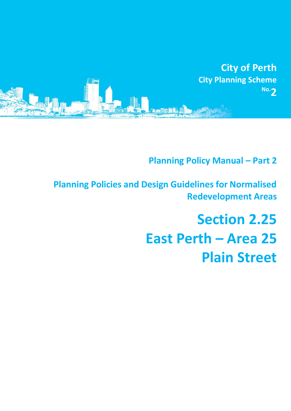

**Planning Policy Manual - Part 2** 

**Planning Policies and Design Guidelines for Normalised Redevelopment Areas**

# **Section 2.25 East Perth – Area 25 Plain Street**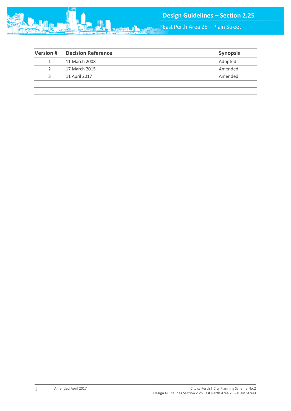

East Perth Area 25 – Plain Street

| <b>Version#</b> | <b>Decision Reference</b> | <b>Synopsis</b> |
|-----------------|---------------------------|-----------------|
| 1               | 11 March 2008             | Adopted         |
|                 | 17 March 2015             | Amended         |
| 3               | 11 April 2017             | Amended         |
|                 |                           |                 |
|                 |                           |                 |
|                 |                           |                 |
|                 |                           |                 |
|                 |                           |                 |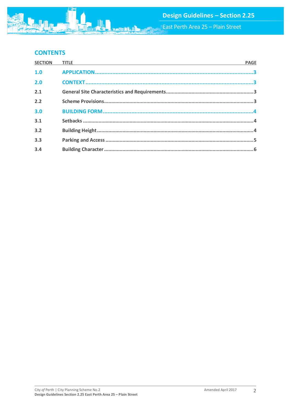# **CONTENTS**

| <b>SECTION</b> | <b>TITLE Example 2014 Contract Contract Contract Contract Contract Contract Contract Contract Contract Contract Contract Contract Contract Contract Contract Contract Contract Contract Contract Contract Contract Contract </b> | <b>PAGE</b> |
|----------------|----------------------------------------------------------------------------------------------------------------------------------------------------------------------------------------------------------------------------------|-------------|
| 1.0            |                                                                                                                                                                                                                                  |             |
| 2.0            |                                                                                                                                                                                                                                  |             |
| 2.1            |                                                                                                                                                                                                                                  |             |
| 2.2            |                                                                                                                                                                                                                                  |             |
| 3.0            |                                                                                                                                                                                                                                  |             |
| 3.1            |                                                                                                                                                                                                                                  |             |
| 3.2            |                                                                                                                                                                                                                                  |             |
| 3.3            |                                                                                                                                                                                                                                  |             |
| 3.4            |                                                                                                                                                                                                                                  |             |

**MA**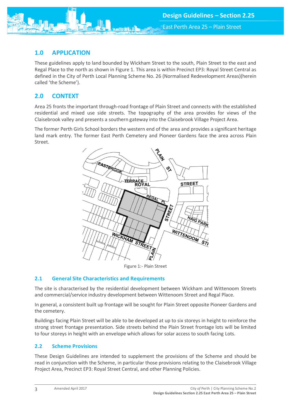<span id="page-3-0"></span>

These guidelines apply to land bounded by Wickham Street to the south, Plain Street to the east and Regal Place to the north as shown in Figure 1. This area is within Precinct EP3: Royal Street Central as defined in the City of Perth Local Planning Scheme No. 26 (Normalised Redevelopment Areas)(herein called 'the Scheme').

# <span id="page-3-1"></span>**2.0 CONTEXT**

Area 25 fronts the important through-road frontage of Plain Street and connects with the established residential and mixed use side streets. The topography of the area provides for views of the Claisebrook valley and presents a southern gateway into the Claisebrook Village Project Area.

The former Perth Girls School borders the western end of the area and provides a significant heritage land mark entry. The former East Perth Cemetery and Pioneer Gardens face the area across Plain Street.



Figure 1:- Plain Street

## <span id="page-3-2"></span>**2.1 General Site Characteristics and Requirements**

The site is characterised by the residential development between Wickham and Wittenoom Streets and commercial/service industry development between Wittenoom Street and Regal Place.

In general, a consistent built up frontage will be sought for Plain Street opposite Pioneer Gardens and the cemetery.

Buildings facing Plain Street will be able to be developed at up to six storeys in height to reinforce the strong street frontage presentation. Side streets behind the Plain Street frontage lots will be limited to four storeys in height with an envelope which allows for solar access to south facing Lots.

## <span id="page-3-3"></span>**2.2 Scheme Provisions**

These Design Guidelines are intended to supplement the provisions of the Scheme and should be read in conjunction with the Scheme, in particular those provisions relating to the Claisebrook Village Project Area, Precinct EP3: Royal Street Central, and other Planning Policies.

3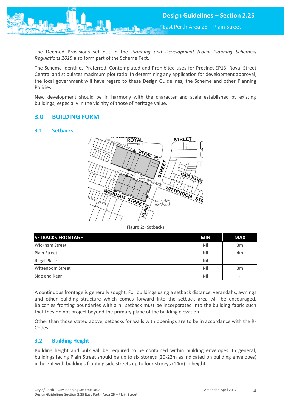East Perth Area 25 – Plain Street

The Deemed Provisions set out in the *Planning and Development (Local Planning Schemes) Regulations 2015* also form part of the Scheme Text.

The Scheme identifies Preferred, Contemplated and Prohibited uses for Precinct EP13: Royal Street Central and stipulates maximum plot ratio. In determining any application for development approval, the local government will have regard to these Design Guidelines, the Scheme and other Planning Policies.

New development should be in harmony with the character and scale established by existing buildings, especially in the vicinity of those of heritage value.

# <span id="page-4-0"></span>**3.0 BUILDING FORM**

#### <span id="page-4-1"></span>**3.1 Setbacks**



Figure 2:- Setbacks

| <b>SETBACKS FRONTAGE</b> | <b>MIN</b> | <b>MAX</b> |
|--------------------------|------------|------------|
| Wickham Street           | Nil        | 3m         |
| <b>Plain Street</b>      | Nil        | 4m         |
| Regal Place              | Nil        | -          |
| <b>Wittenoom Street</b>  | Nil        | 3m         |
| Side and Rear            | Nil        |            |

A continuous frontage is generally sought. For buildings using a setback distance, verandahs, awnings and other building structure which comes forward into the setback area will be encouraged. Balconies fronting boundaries with a nil setback must be incorporated into the building fabric such that they do not project beyond the primary plane of the building elevation.

Other than those stated above, setbacks for walls with openings are to be in accordance with the R-Codes.

## <span id="page-4-2"></span>**3.2 Building Height**

Building height and bulk will be required to be contained within building envelopes. In general, buildings facing Plain Street should be up to six storeys (20-22m as indicated on building envelopes) in height with buildings fronting side streets up to four storeys (14m) in height.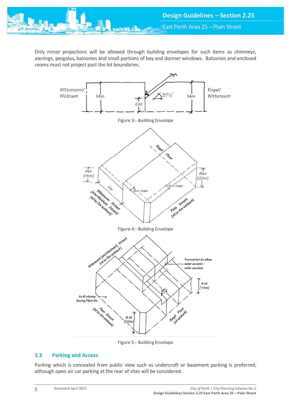Only minor projections will be allowed through building envelopes for such items as chimneys, awnings, pergolas, balconies and small portions of bay and dormer windows. Balconies and enclosed rooms must not project past the lot boundaries.



Figure 5:- Building Envelope

## <span id="page-5-0"></span>**3.3 Parking and Access**

Parking which is concealed from public view such as undercroft or basement parking is preferred, although open air car parking at the rear of sites will be considered.